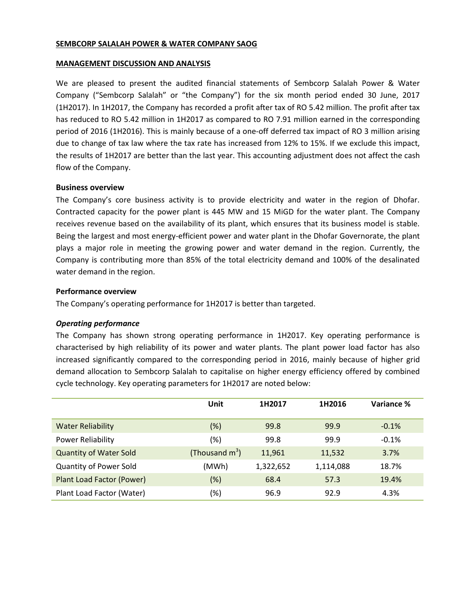### **SEMBCORP SALALAH POWER & WATER COMPANY SAOG**

#### **MANAGEMENT DISCUSSION AND ANALYSIS**

We are pleased to present the audited financial statements of Sembcorp Salalah Power & Water Company ("Sembcorp Salalah" or "the Company") for the six month period ended 30 June, 2017 (1H2017). In 1H2017, the Company has recorded a profit after tax of RO 5.42 million. The profit after tax has reduced to RO 5.42 million in 1H2017 as compared to RO 7.91 million earned in the corresponding period of 2016 (1H2016). This is mainly because of a one-off deferred tax impact of RO 3 million arising due to change of tax law where the tax rate has increased from 12% to 15%. If we exclude this impact, the results of 1H2017 are better than the last year. This accounting adjustment does not affect the cash flow of the Company.

### **Business overview**

The Company's core business activity is to provide electricity and water in the region of Dhofar. Contracted capacity for the power plant is 445 MW and 15 MiGD for the water plant. The Company receives revenue based on the availability of its plant, which ensures that its business model is stable. Being the largest and most energy-efficient power and water plant in the Dhofar Governorate, the plant plays a major role in meeting the growing power and water demand in the region. Currently, the Company is contributing more than 85% of the total electricity demand and 100% of the desalinated water demand in the region.

## **Performance overview**

The Company's operating performance for 1H2017 is better than targeted.

# *Operating performance*

The Company has shown strong operating performance in 1H2017. Key operating performance is characterised by high reliability of its power and water plants. The plant power load factor has also increased significantly compared to the corresponding period in 2016, mainly because of higher grid demand allocation to Sembcorp Salalah to capitalise on higher energy efficiency offered by combined cycle technology. Key operating parameters for 1H2017 are noted below:

|                                  | Unit              | 1H2017    | 1H2016    | Variance % |
|----------------------------------|-------------------|-----------|-----------|------------|
| <b>Water Reliability</b>         | (%)               | 99.8      | 99.9      | $-0.1%$    |
| <b>Power Reliability</b>         | (%)               | 99.8      | 99.9      | $-0.1%$    |
| <b>Quantity of Water Sold</b>    | (Thousand $m^3$ ) | 11,961    | 11,532    | 3.7%       |
| Quantity of Power Sold           | (MWh)             | 1,322,652 | 1,114,088 | 18.7%      |
| <b>Plant Load Factor (Power)</b> | $(\%)$            | 68.4      | 57.3      | 19.4%      |
| Plant Load Factor (Water)        | (%)               | 96.9      | 92.9      | 4.3%       |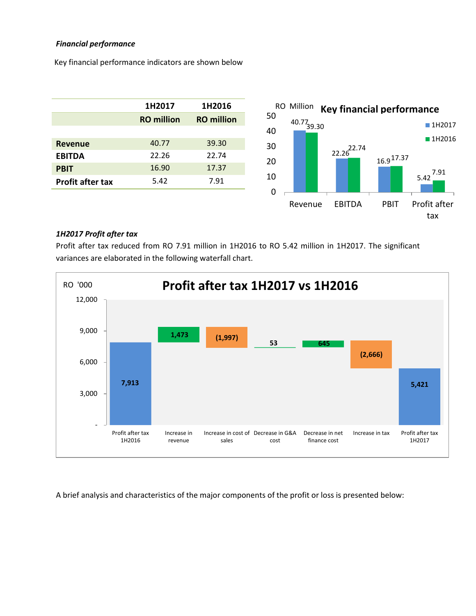# *Financial performance*

Key financial performance indicators are shown below

|                         | 1H2017            | 1H2016            |  |
|-------------------------|-------------------|-------------------|--|
|                         | <b>RO</b> million | <b>RO</b> million |  |
|                         |                   |                   |  |
| <b>Revenue</b>          | 40.77             | 39.30             |  |
| <b>EBITDA</b>           | 22.26             | 22.74             |  |
| <b>PBIT</b>             | 16.90             | 17.37             |  |
| <b>Profit after tax</b> | 5.42              | 7.91              |  |
|                         |                   |                   |  |



## *1H2017 Profit after tax*

Profit after tax reduced from RO 7.91 million in 1H2016 to RO 5.42 million in 1H2017. The significant variances are elaborated in the following waterfall chart.



A brief analysis and characteristics of the major components of the profit or loss is presented below: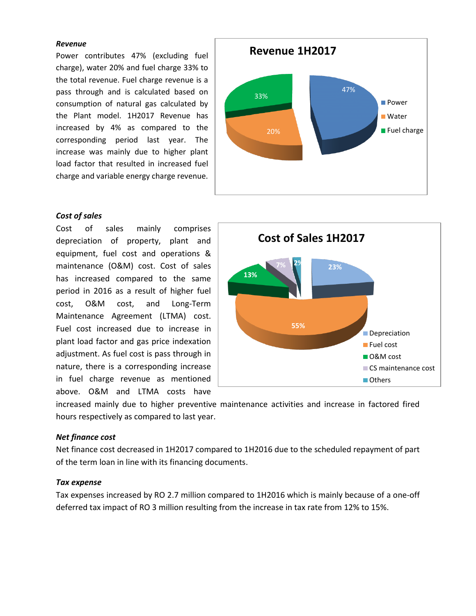#### *Revenue*

Power contributes 47% (excluding fuel charge), water 20% and fuel charge 33% to the total revenue. Fuel charge revenue is a pass through and is calculated based on consumption of natural gas calculated by the Plant model. 1H2017 Revenue has increased by 4% as compared to the corresponding period last year. The increase was mainly due to higher plant load factor that resulted in increased fuel charge and variable energy charge revenue.



Cost of sales mainly comprises depreciation of property, plant and equipment, fuel cost and operations & maintenance (O&M) cost. Cost of sales has increased compared to the same period in 2016 as a result of higher fuel cost, O&M cost, and Long-Term Maintenance Agreement (LTMA) cost. Fuel cost increased due to increase in plant load factor and gas price indexation adjustment. As fuel cost is pass through in nature, there is a corresponding increase in fuel charge revenue as mentioned above. O&M and LTMA costs have





increased mainly due to higher preventive maintenance activities and increase in factored fired hours respectively as compared to last year.

### *Net finance cost*

Net finance cost decreased in 1H2017 compared to 1H2016 due to the scheduled repayment of part of the term loan in line with its financing documents.

### *Tax expense*

Tax expenses increased by RO 2.7 million compared to 1H2016 which is mainly because of a one-off deferred tax impact of RO 3 million resulting from the increase in tax rate from 12% to 15%.